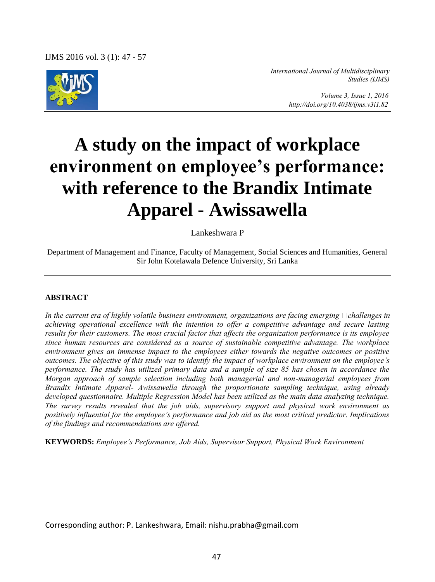IJMS 2016 vol. 3 (1): 47 - 57



*International Journal of Multidisciplinary Studies (IJMS)* 

> *Volume 3, Issue 1, 2016 http://doi.org/10.4038/ijms.v3i1.82*

# **A study on the impact of workplace environment on employee's performance: with reference to the Brandix Intimate Apparel - Awissawella**

Lankeshwara P

Department of Management and Finance, Faculty of Management, Social Sciences and Humanities, General Sir John Kotelawala Defence University, Sri Lanka

#### **ABSTRACT**

In the current era of highly volatile business environment, organizations are facing emerging  $\Box$ challenges in *achieving operational excellence with the intention to offer a competitive advantage and secure lasting results for their customers. The most crucial factor that affects the organization performance is its employee since human resources are considered as a source of sustainable competitive advantage. The workplace environment gives an immense impact to the employees either towards the negative outcomes or positive outcomes. The objective of this study was to identify the impact of workplace environment on the employee's performance. The study has utilized primary data and a sample of size 85 has chosen in accordance the Morgan approach of sample selection including both managerial and non-managerial employees from Brandix Intimate Apparel- Awissawella through the proportionate sampling technique, using already developed questionnaire. Multiple Regression Model has been utilized as the main data analyzing technique. The survey results revealed that the job aids, supervisory support and physical work environment as positively influential for the employee's performance and job aid as the most critical predictor. Implications of the findings and recommendations are offered.* 

**KEYWORDS:** *Employee's Performance, Job Aids, Supervisor Support, Physical Work Environment* 

Corresponding author: P. Lankeshwara, Email: nishu.prabha@gmail.com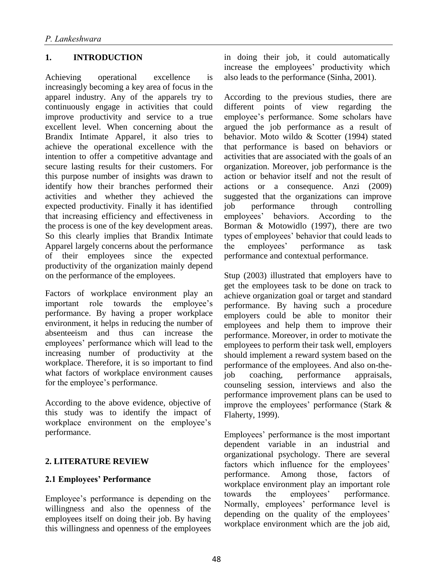# **1. INTRODUCTION**

Achieving operational excellence is increasingly becoming a key area of focus in the apparel industry. Any of the apparels try to continuously engage in activities that could improve productivity and service to a true excellent level. When concerning about the Brandix Intimate Apparel, it also tries to achieve the operational excellence with the intention to offer a competitive advantage and secure lasting results for their customers. For this purpose number of insights was drawn to identify how their branches performed their activities and whether they achieved the expected productivity. Finally it has identified that increasing efficiency and effectiveness in the process is one of the key development areas. So this clearly implies that Brandix Intimate Apparel largely concerns about the performance of their employees since the expected productivity of the organization mainly depend on the performance of the employees.

Factors of workplace environment play an important role towards the employee's performance. By having a proper workplace environment, it helps in reducing the number of absenteeism and thus can increase the employees' performance which will lead to the increasing number of productivity at the workplace. Therefore, it is so important to find what factors of workplace environment causes for the employee's performance.

According to the above evidence, objective of this study was to identify the impact of workplace environment on the employee's performance.

### **2. LITERATURE REVIEW**

### **2.1 Employees' Performance**

Employee's performance is depending on the willingness and also the openness of the employees itself on doing their job. By having this willingness and openness of the employees in doing their job, it could automatically increase the employees' productivity which also leads to the performance (Sinha, 2001).

According to the previous studies, there are different points of view regarding the employee's performance. Some scholars have argued the job performance as a result of behavior. Moto wildo & Scotter (1994) stated that performance is based on behaviors or activities that are associated with the goals of an organization. Moreover, job performance is the action or behavior itself and not the result of actions or a consequence. Anzi (2009) suggested that the organizations can improve job performance through controlling employees' behaviors. According to the Borman & Motowidlo (1997), there are two types of employees' behavior that could leads to the employees' performance as task performance and contextual performance.

Stup (2003) illustrated that employers have to get the employees task to be done on track to achieve organization goal or target and standard performance. By having such a procedure employers could be able to monitor their employees and help them to improve their performance. Moreover, in order to motivate the employees to perform their task well, employers should implement a reward system based on the performance of the employees. And also on-thejob coaching, performance appraisals, counseling session, interviews and also the performance improvement plans can be used to improve the employees' performance (Stark & Flaherty, 1999).

Employees' performance is the most important dependent variable in an industrial and organizational psychology. There are several factors which influence for the employees' performance. Among those, factors of workplace environment play an important role towards the employees' performance. Normally, employees' performance level is depending on the quality of the employees' workplace environment which are the job aid,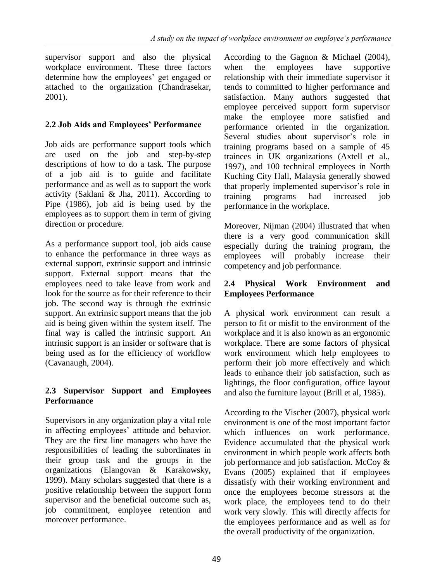supervisor support and also the physical workplace environment. These three factors determine how the employees' get engaged or attached to the organization (Chandrasekar, 2001).

# **2.2 Job Aids and Employees' Performance**

Job aids are performance support tools which are used on the job and step-by-step descriptions of how to do a task. The purpose of a job aid is to guide and facilitate performance and as well as to support the work activity (Saklani & Jha, 2011). According to Pipe (1986), job aid is being used by the employees as to support them in term of giving direction or procedure.

As a performance support tool, job aids cause to enhance the performance in three ways as external support, extrinsic support and intrinsic support. External support means that the employees need to take leave from work and look for the source as for their reference to their job. The second way is through the extrinsic support. An extrinsic support means that the job aid is being given within the system itself. The final way is called the intrinsic support. An intrinsic support is an insider or software that is being used as for the efficiency of workflow (Cavanaugh, 2004).

# **2.3 Supervisor Support and Employees Performance**

Supervisors in any organization play a vital role in affecting employees' attitude and behavior. They are the first line managers who have the responsibilities of leading the subordinates in their group task and the groups in the organizations (Elangovan & Karakowsky, 1999). Many scholars suggested that there is a positive relationship between the support form supervisor and the beneficial outcome such as, iob commitment, employee retention and moreover performance.

According to the Gagnon & Michael (2004), when the employees have supportive relationship with their immediate supervisor it tends to committed to higher performance and satisfaction. Many authors suggested that employee perceived support form supervisor make the employee more satisfied and performance oriented in the organization. Several studies about supervisor's role in training programs based on a sample of 45 trainees in UK organizations (Axtell et al., 1997), and 100 technical employees in North Kuching City Hall, Malaysia generally showed that properly implemented supervisor's role in training programs had increased job performance in the workplace.

Moreover, Nijman (2004) illustrated that when there is a very good communication skill especially during the training program, the employees will probably increase their competency and job performance.

# **2.4 Physical Work Environment and Employees Performance**

A physical work environment can result a person to fit or misfit to the environment of the workplace and it is also known as an ergonomic workplace. There are some factors of physical work environment which help employees to perform their job more effectively and which leads to enhance their job satisfaction, such as lightings, the floor configuration, office layout and also the furniture layout (Brill et al, 1985).

According to the Vischer (2007), physical work environment is one of the most important factor which influences on work performance. Evidence accumulated that the physical work environment in which people work affects both job performance and job satisfaction. McCoy & Evans (2005) explained that if employees dissatisfy with their working environment and once the employees become stressors at the work place, the employees tend to do their work very slowly. This will directly affects for the employees performance and as well as for the overall productivity of the organization.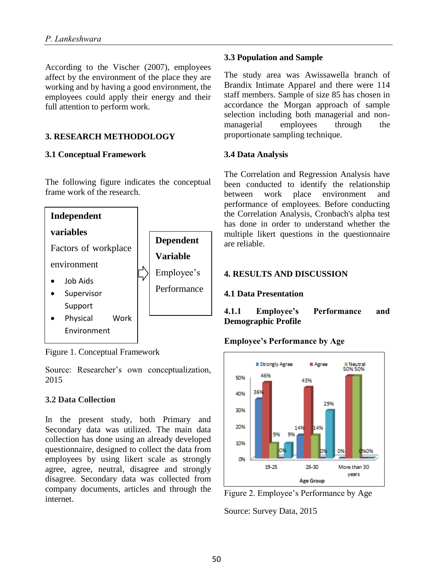According to the Vischer (2007), employees affect by the environment of the place they are working and by having a good environment, the employees could apply their energy and their full attention to perform work.

## **3. RESEARCH METHODOLOGY**

#### **3.1 Conceptual Framework**

The following figure indicates the conceptual frame work of the research.



Figure 1. Conceptual Framework

Source: Researcher's own conceptualization, 2015

### **3.2 Data Collection**

In the present study, both Primary and Secondary data was utilized. The main data collection has done using an already developed questionnaire, designed to collect the data from employees by using likert scale as strongly agree, agree, neutral, disagree and strongly disagree. Secondary data was collected from company documents, articles and through the internet.

#### **3.3 Population and Sample**

The study area was Awissawella branch of Brandix Intimate Apparel and there were 114 staff members. Sample of size 85 has chosen in accordance the Morgan approach of sample selection including both managerial and nonmanagerial employees through the proportionate sampling technique.

### **3.4 Data Analysis**

The Correlation and Regression Analysis have been conducted to identify the relationship between work place environment and performance of employees. Before conducting the Correlation Analysis, Cronbach's alpha test has done in order to understand whether the multiple likert questions in the questionnaire are reliable.

### **4. RESULTS AND DISCUSSION**

### **4.1 Data Presentation**

**4.1.1 Employee's Performance and Demographic Profile** 

### **Employee's Performance by Age**



Figure 2. Employee's Performance by Age

Source: Survey Data, 2015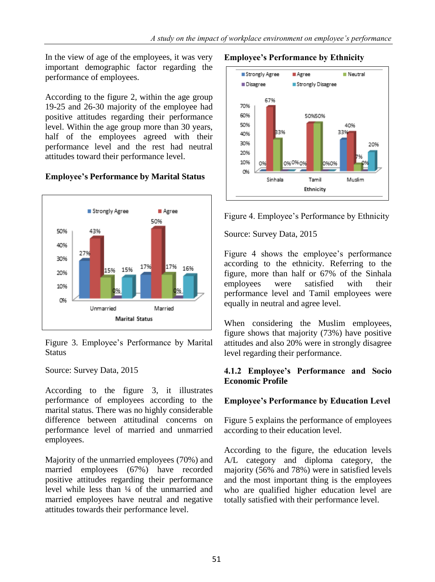In the view of age of the employees, it was very important demographic factor regarding the performance of employees.

According to the figure 2, within the age group 19-25 and 26-30 majority of the employee had positive attitudes regarding their performance level. Within the age group more than 30 years, half of the employees agreed with their performance level and the rest had neutral attitudes toward their performance level.

# **Employee's Performance by Marital Status**



Figure 3. Employee's Performance by Marital Status

Source: Survey Data, 2015

According to the figure 3, it illustrates performance of employees according to the marital status. There was no highly considerable difference between attitudinal concerns on performance level of married and unmarried employees.

Majority of the unmarried employees (70%) and married employees (67%) have recorded positive attitudes regarding their performance level while less than ¼ of the unmarried and married employees have neutral and negative attitudes towards their performance level.

#### **Employee's Performance by Ethnicity**



Figure 4. Employee's Performance by Ethnicity

Source: Survey Data, 2015

Figure 4 shows the employee's performance according to the ethnicity. Referring to the figure, more than half or 67% of the Sinhala employees were satisfied with their performance level and Tamil employees were equally in neutral and agree level.

When considering the Muslim employees, figure shows that majority (73%) have positive attitudes and also 20% were in strongly disagree level regarding their performance.

### **4.1.2 Employee's Performance and Socio Economic Profile**

### **Employee's Performance by Education Level**

Figure 5 explains the performance of employees according to their education level.

According to the figure, the education levels A/L category and diploma category, the majority (56% and 78%) were in satisfied levels and the most important thing is the employees who are qualified higher education level are totally satisfied with their performance level.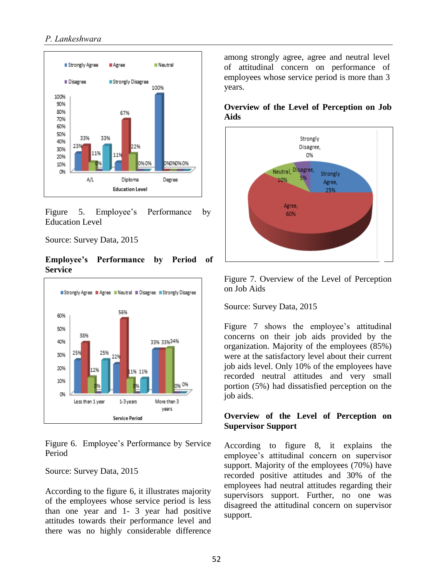#### *P. Lankeshwara*



Figure 5. Employee's Performance by Education Level

Source: Survey Data, 2015

#### **Employee's Performance by Period of Service**



Figure 6. Employee's Performance by Service Period

#### Source: Survey Data, 2015

According to the figure 6, it illustrates majority of the employees whose service period is less than one year and 1- 3 year had positive attitudes towards their performance level and there was no highly considerable difference among strongly agree, agree and neutral level of attitudinal concern on performance of employees whose service period is more than 3 years.

#### **Overview of the Level of Perception on Job Aids**



Figure 7. Overview of the Level of Perception on Job Aids

Source: Survey Data, 2015

Figure 7 shows the employee's attitudinal concerns on their job aids provided by the organization. Majority of the employees (85%) were at the satisfactory level about their current job aids level. Only 10% of the employees have recorded neutral attitudes and very small portion (5%) had dissatisfied perception on the job aids.

#### **Overview of the Level of Perception on Supervisor Support**

According to figure 8, it explains the employee's attitudinal concern on supervisor support. Majority of the employees (70%) have recorded positive attitudes and 30% of the employees had neutral attitudes regarding their supervisors support. Further, no one was disagreed the attitudinal concern on supervisor support.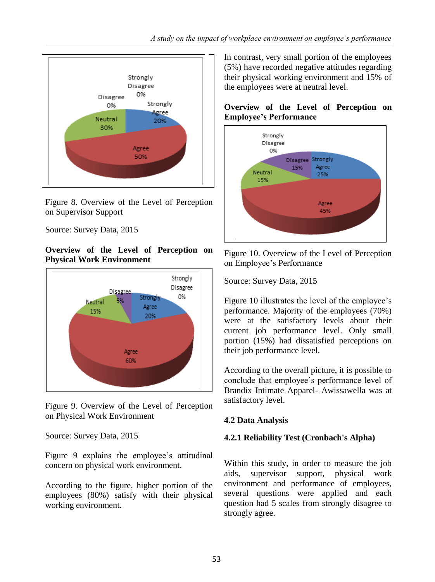

Figure 8. Overview of the Level of Perception on Supervisor Support

Source: Survey Data, 2015

#### **Overview of the Level of Perception on Physical Work Environment**



Figure 9. Overview of the Level of Perception on Physical Work Environment

Source: Survey Data, 2015

Figure 9 explains the employee's attitudinal concern on physical work environment.

According to the figure, higher portion of the employees (80%) satisfy with their physical working environment.

In contrast, very small portion of the employees (5%) have recorded negative attitudes regarding their physical working environment and 15% of the employees were at neutral level.

# **Overview of the Level of Perception on Employee's Performance**



Figure 10. Overview of the Level of Perception on Employee's Performance

Source: Survey Data, 2015

Figure 10 illustrates the level of the employee's performance. Majority of the employees (70%) were at the satisfactory levels about their current job performance level. Only small portion (15%) had dissatisfied perceptions on their job performance level.

According to the overall picture, it is possible to conclude that employee's performance level of Brandix Intimate Apparel- Awissawella was at satisfactory level.

# **4.2 Data Analysis**

# **4.2.1 Reliability Test (Cronbach's Alpha)**

Within this study, in order to measure the job aids, supervisor support, physical work environment and performance of employees, several questions were applied and each question had 5 scales from strongly disagree to strongly agree.